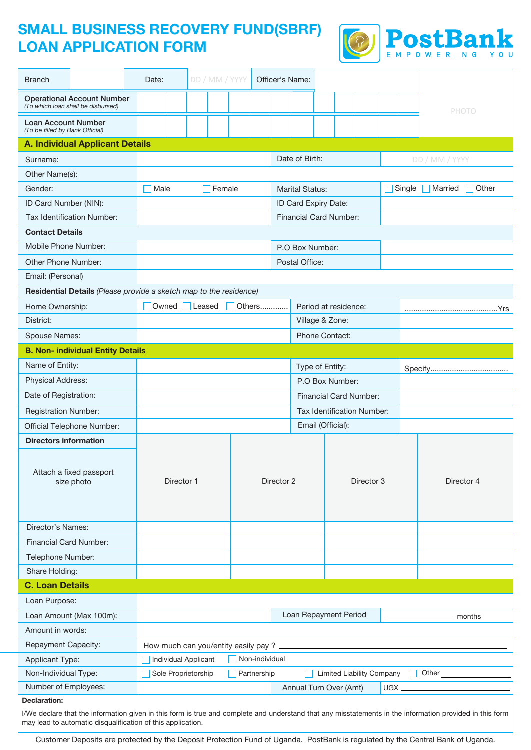# **SMALL BUSINESS RECOVERY FUND(SBRF) LOAN APPLICATION FORM**



| <b>Branch</b>                                                      |                                                                         | Date:                           |                                        |                                                                 | DD / MM / YYYY | Officer's Name: |  |                            |                               |  |                         |                               |  |                            |                |  |
|--------------------------------------------------------------------|-------------------------------------------------------------------------|---------------------------------|----------------------------------------|-----------------------------------------------------------------|----------------|-----------------|--|----------------------------|-------------------------------|--|-------------------------|-------------------------------|--|----------------------------|----------------|--|
|                                                                    | <b>Operational Account Number</b><br>(To which loan shall be disbursed) |                                 |                                        |                                                                 |                |                 |  |                            |                               |  |                         |                               |  |                            | <b>PHOTO</b>   |  |
| <b>Loan Account Number</b><br>(To be filled by Bank Official)      |                                                                         |                                 |                                        |                                                                 |                |                 |  |                            |                               |  |                         |                               |  |                            |                |  |
|                                                                    | <b>A. Individual Applicant Details</b>                                  |                                 |                                        |                                                                 |                |                 |  |                            |                               |  |                         |                               |  |                            |                |  |
| Surname:                                                           |                                                                         |                                 |                                        |                                                                 |                |                 |  |                            | Date of Birth:                |  |                         |                               |  |                            | DD / MM / YYYY |  |
| Other Name(s):                                                     |                                                                         |                                 |                                        |                                                                 |                |                 |  |                            |                               |  |                         |                               |  |                            |                |  |
| Gender:                                                            |                                                                         |                                 | Male<br>Female                         |                                                                 |                |                 |  | Marital Status:            |                               |  |                         |                               |  | Married<br>Other<br>Single |                |  |
| ID Card Number (NIN):                                              |                                                                         |                                 |                                        |                                                                 |                |                 |  |                            | ID Card Expiry Date:          |  |                         |                               |  |                            |                |  |
| Tax Identification Number:                                         |                                                                         |                                 |                                        |                                                                 |                |                 |  |                            | <b>Financial Card Number:</b> |  |                         |                               |  |                            |                |  |
| <b>Contact Details</b>                                             |                                                                         |                                 |                                        |                                                                 |                |                 |  |                            |                               |  |                         |                               |  |                            |                |  |
| Mobile Phone Number:                                               |                                                                         |                                 |                                        |                                                                 |                |                 |  | P.O Box Number:            |                               |  |                         |                               |  |                            |                |  |
| Other Phone Number:                                                |                                                                         |                                 |                                        |                                                                 |                |                 |  |                            | Postal Office:                |  |                         |                               |  |                            |                |  |
| Email: (Personal)                                                  |                                                                         |                                 |                                        |                                                                 |                |                 |  |                            |                               |  |                         |                               |  |                            |                |  |
| Residential Details (Please provide a sketch map to the residence) |                                                                         |                                 |                                        |                                                                 |                |                 |  |                            |                               |  |                         |                               |  |                            |                |  |
| Home Ownership:                                                    |                                                                         |                                 | Owned<br>Leased<br>Others              |                                                                 |                |                 |  |                            | Period at residence:          |  |                         |                               |  |                            |                |  |
| District:                                                          |                                                                         |                                 |                                        |                                                                 |                |                 |  |                            | Village & Zone:               |  |                         |                               |  |                            |                |  |
| Spouse Names:                                                      |                                                                         |                                 |                                        |                                                                 |                |                 |  | Phone Contact:             |                               |  |                         |                               |  |                            |                |  |
|                                                                    | <b>B. Non- individual Entity Details</b>                                |                                 |                                        |                                                                 |                |                 |  |                            |                               |  |                         |                               |  |                            |                |  |
| Name of Entity:                                                    |                                                                         |                                 |                                        |                                                                 |                |                 |  | Type of Entity:            |                               |  |                         |                               |  |                            |                |  |
| <b>Physical Address:</b>                                           |                                                                         |                                 |                                        |                                                                 |                |                 |  |                            | P.O Box Number:               |  |                         |                               |  |                            |                |  |
| Date of Registration:                                              |                                                                         |                                 |                                        |                                                                 |                |                 |  |                            |                               |  |                         | <b>Financial Card Number:</b> |  |                            |                |  |
| <b>Registration Number:</b>                                        |                                                                         |                                 |                                        |                                                                 |                |                 |  | Tax Identification Number: |                               |  |                         |                               |  |                            |                |  |
| Official Telephone Number:                                         |                                                                         |                                 |                                        |                                                                 |                |                 |  |                            | Email (Official):             |  |                         |                               |  |                            |                |  |
|                                                                    | <b>Directors information</b>                                            |                                 |                                        |                                                                 |                |                 |  |                            |                               |  |                         |                               |  |                            |                |  |
|                                                                    | Attach a fixed passport<br>size photo                                   |                                 | Director 1                             |                                                                 |                | Director 2      |  |                            | Director 3                    |  |                         |                               |  | Director 4                 |                |  |
| Director's Names:                                                  |                                                                         |                                 |                                        |                                                                 |                |                 |  |                            |                               |  |                         |                               |  |                            |                |  |
| Financial Card Number:                                             |                                                                         |                                 |                                        |                                                                 |                |                 |  |                            |                               |  |                         |                               |  |                            |                |  |
| Telephone Number:                                                  |                                                                         |                                 |                                        |                                                                 |                |                 |  |                            |                               |  |                         |                               |  |                            |                |  |
| Share Holding:                                                     |                                                                         |                                 |                                        |                                                                 |                |                 |  |                            |                               |  |                         |                               |  |                            |                |  |
| <b>C. Loan Details</b>                                             |                                                                         |                                 |                                        |                                                                 |                |                 |  |                            |                               |  |                         |                               |  |                            |                |  |
| Loan Purpose:                                                      |                                                                         |                                 |                                        |                                                                 |                |                 |  |                            |                               |  |                         |                               |  |                            |                |  |
| Loan Amount (Max 100m):                                            |                                                                         | Loan Repayment Period<br>months |                                        |                                                                 |                |                 |  |                            |                               |  |                         |                               |  |                            |                |  |
|                                                                    | Amount in words:                                                        |                                 |                                        |                                                                 |                |                 |  |                            |                               |  |                         |                               |  |                            |                |  |
|                                                                    | Repayment Capacity:                                                     |                                 |                                        |                                                                 |                |                 |  |                            |                               |  |                         |                               |  |                            |                |  |
| <b>Applicant Type:</b>                                             |                                                                         |                                 | Non-individual<br>Individual Applicant |                                                                 |                |                 |  |                            |                               |  |                         |                               |  |                            |                |  |
| Non-Individual Type:                                               |                                                                         |                                 |                                        | Sole Proprietorship<br>Limited Liability Company<br>Partnership |                |                 |  |                            |                               |  | Other <sub>______</sub> |                               |  |                            |                |  |
| Number of Employees:                                               |                                                                         |                                 |                                        |                                                                 |                |                 |  | Annual Turn Over (Amt)     |                               |  |                         | UGX_                          |  |                            |                |  |
| Declaration:                                                       |                                                                         |                                 |                                        |                                                                 |                |                 |  |                            |                               |  |                         |                               |  |                            |                |  |

I/We declare that the information given in this form is true and complete and understand that any misstatements in the information provided in this form may lead to automatic disqualification of this application.

Customer Deposits are protected by the Deposit Protection Fund of Uganda. PostBank is regulated by the Central Bank of Uganda.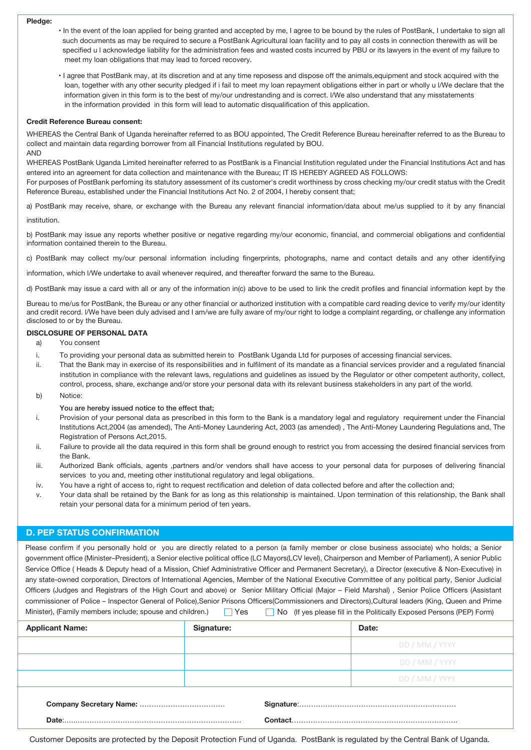#### **Pledge:**

- In the event of the loan applied for being granted and accepted by me, I agree to be bound by the rules of PostBank, I undertake to sign all such documents as may be required to secure a PostBank Agricultural loan facility and to pay all costs in connection therewith as will be specified u l acknowledge liability for the administration fees and wasted costs incurred by PBU or its lawyers in the event of my failure to meet my loan obligations that may lead to forced recovery.
	- I agree that PostBank may, at its discretion and at any time reposess and dispose off the animals,equipment and stock acquired with the loan, together with any other security pledged if i fail to meet my loan repayment obligations either in part or wholly u l/We declare that the information given in this form is to the best of my/our undrestanding and is correct. l/We also understand that any misstatements in the information provided in this form will lead to automatic disqualification of this application.

#### **Credit Reference Bureau consent:**

WHEREAS the Central Bank of Uganda hereinafter referred to as BOU appointed, The Credit Reference Bureau hereinafter referred to as the Bureau to collect and maintain data regarding borrower from all Financial Institutions regulated by BOU. AND

WHEREAS PostBank Uganda Limited hereinafter referred to as PostBank is a Financial Institution regulated under the Financial Institutions Act and has entered into an agreement for data collection and maintenance with the Bureau; IT IS HEREBY AGREED AS FOLLOWS:

For purposes of PostBank perfoming its statutory assessment of its customer's credit worthiness by cross checking my/our credit status with the Credit Reference Bureau, established under the Financial Institutions Act No. 2 of 2004, I hereby consent that;

a) PostBank may receive, share, or exchange with the Bureau any relevant financial information/data about me/us supplied to it by any financial

#### institution.

b) PostBank may issue any reports whether positive or negative regarding my/our economic, financial, and commercial obligations and confidential information contained therein to the Bureau.

c) PostBank may collect my/our personal information including fingerprints, photographs, name and contact details and any other identifying

information, which l/We undertake to avail whenever required, and thereafter forward the same to the Bureau.

d) PostBank may issue a card with all or any of the information in(c) above to be used to link the credit profiles and financial information kept by the

Bureau to me/us for PostBank, the Bureau or any other financial or authorized institution with a compatible card reading device to verify my/our identity and credit record. l/We have been duly advised and I am/we are fully aware of my/our right to lodge a complaint regarding, or challenge any information disclosed to or by the Bureau.

## **DISCLOSURE OF PERSONAL DATA**

- a) You consent
- i. To providing your personal data as submitted herein to PostBank Uganda Ltd for purposes of accessing financial services.
- ii. That the Bank may in exercise of its responsibilities and in fulfilment of its mandate as a financial services provider and a regulated financial institution in compliance with the relevant laws, regulations and guidelines as issued by the Regulator or other competent authority, collect, control, process, share, exchange and/or store your personal data with its relevant business stakeholders in any part of the world.
- b) Notice:

### You are hereby issued notice to the effect that;

- i. Provision of your personal data as prescribed in this form to the Bank is a mandatory legal and regulatory requirement under the Financial Institutions Act,2004 (as amended), The Anti-Money Laundering Act, 2003 (as amended) , The Anti-Money Laundering Regulations and, The Registration of Persons Act,2015.
- ii. Failure to provide all the data required in this form shall be ground enough to restrict you from accessing the desired financial services from the Bank.
- iii. Authorized Bank officials, agents ,partners and/or vendors shall have access to your personal data for purposes of delivering financial services to you and, meeting other institutional regulatory and legal obligations.
- iv. You have a right of access to, right to request rectification and deletion of data collected before and after the collection and;
- v. Your data shall be retained by the Bank for as long as this relationship is maintained. Upon termination of this relationship, the Bank shall retain your personal data for a minimum period of ten years.

## **D. PEP STATUS CONFIRMATION**

Please confirm if you personally hold or you are directly related to a person (a family member or close business associate) who holds; a Senior government office (Minister–President), a Senior elective political office (LC Mayors(LCV level), Chairperson and Member of Parliament), A senior Public Service Office ( Heads & Deputy head of a Mission, Chief Administrative Officer and Permanent Secretary), a Director (executive & Non-Executive) in any state-owned corporation, Directors of International Agencies, Member of the National Executive Committee of any political party, Senior Judicial Officers (Judges and Registrars of the High Court and above) or Senior Military Official (Major – Field Marshal) , Senior Police Officers (Assistant commissioner of Police – Inspector General of Police),Senior Prisons Officers(Commissioners and Directors),Cultural leaders (King, Queen and Prime Minister), (Family members include; spouse and children.)  $\Box$  Yes  $\Box$  No (If yes please fill in the Politically Exposed Persons (PEP) Form)

| <b>Applicant Name:</b> | Signature: | Date:                                                                                                                                                                                                                                                                                                                                                                                                                                                                                                          |  |  |  |
|------------------------|------------|----------------------------------------------------------------------------------------------------------------------------------------------------------------------------------------------------------------------------------------------------------------------------------------------------------------------------------------------------------------------------------------------------------------------------------------------------------------------------------------------------------------|--|--|--|
|                        |            | DD / MM / YYYY                                                                                                                                                                                                                                                                                                                                                                                                                                                                                                 |  |  |  |
|                        |            | DD / MM / YYYY                                                                                                                                                                                                                                                                                                                                                                                                                                                                                                 |  |  |  |
|                        |            | DD / MM / YYYY                                                                                                                                                                                                                                                                                                                                                                                                                                                                                                 |  |  |  |
|                        |            | $\textbf{Context} \color{red}{\ldots} \color{red}{\ldots} \color{red}{\ldots} \color{red}{\ldots} \color{red}{\ldots} \color{red}{\ldots} \color{red}{\ldots} \color{red}{\ldots} \color{red}{\ldots} \color{red}{\ldots} \color{red}{\ldots} \color{red}{\ldots} \color{red}{\ldots} \color{red}{\ldots} \color{red}{\ldots} \color{red}{\ldots} \color{red}{\ldots} \color{red}{\ldots} \color{red}{\ldots} \color{red}{\ldots} \color{red}{\ldots} \color{red}{\ldots} \color{red}{\ldots} \color{red}{\ld$ |  |  |  |

Customer Deposits are protected by the Deposit Protection Fund of Uganda. PostBank is regulated by the Central Bank of Uganda.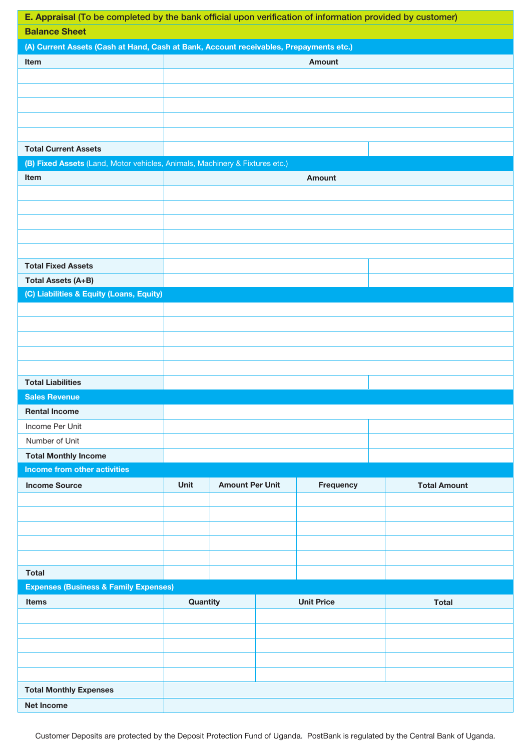| E. Appraisal (To be completed by the bank official upon verification of information provided by customer) |               |                        |  |                   |                     |  |  |  |  |  |
|-----------------------------------------------------------------------------------------------------------|---------------|------------------------|--|-------------------|---------------------|--|--|--|--|--|
| <b>Balance Sheet</b>                                                                                      |               |                        |  |                   |                     |  |  |  |  |  |
| (A) Current Assets (Cash at Hand, Cash at Bank, Account receivables, Prepayments etc.)                    |               |                        |  |                   |                     |  |  |  |  |  |
| Item                                                                                                      | <b>Amount</b> |                        |  |                   |                     |  |  |  |  |  |
|                                                                                                           |               |                        |  |                   |                     |  |  |  |  |  |
|                                                                                                           |               |                        |  |                   |                     |  |  |  |  |  |
|                                                                                                           |               |                        |  |                   |                     |  |  |  |  |  |
|                                                                                                           |               |                        |  |                   |                     |  |  |  |  |  |
|                                                                                                           |               |                        |  |                   |                     |  |  |  |  |  |
| <b>Total Current Assets</b>                                                                               |               |                        |  |                   |                     |  |  |  |  |  |
| (B) Fixed Assets (Land, Motor vehicles, Animals, Machinery & Fixtures etc.)                               |               |                        |  |                   |                     |  |  |  |  |  |
| Item                                                                                                      |               |                        |  | <b>Amount</b>     |                     |  |  |  |  |  |
|                                                                                                           |               |                        |  |                   |                     |  |  |  |  |  |
|                                                                                                           |               |                        |  |                   |                     |  |  |  |  |  |
|                                                                                                           |               |                        |  |                   |                     |  |  |  |  |  |
|                                                                                                           |               |                        |  |                   |                     |  |  |  |  |  |
|                                                                                                           |               |                        |  |                   |                     |  |  |  |  |  |
| <b>Total Fixed Assets</b>                                                                                 |               |                        |  |                   |                     |  |  |  |  |  |
| <b>Total Assets (A+B)</b>                                                                                 |               |                        |  |                   |                     |  |  |  |  |  |
| (C) Liabilities & Equity (Loans, Equity)                                                                  |               |                        |  |                   |                     |  |  |  |  |  |
|                                                                                                           |               |                        |  |                   |                     |  |  |  |  |  |
|                                                                                                           |               |                        |  |                   |                     |  |  |  |  |  |
|                                                                                                           |               |                        |  |                   |                     |  |  |  |  |  |
|                                                                                                           |               |                        |  |                   |                     |  |  |  |  |  |
|                                                                                                           |               |                        |  |                   |                     |  |  |  |  |  |
| <b>Total Liabilities</b>                                                                                  |               |                        |  |                   |                     |  |  |  |  |  |
| <b>Sales Revenue</b>                                                                                      |               |                        |  |                   |                     |  |  |  |  |  |
| <b>Rental Income</b>                                                                                      |               |                        |  |                   |                     |  |  |  |  |  |
| Income Per Unit                                                                                           |               |                        |  |                   |                     |  |  |  |  |  |
| Number of Unit                                                                                            |               |                        |  |                   |                     |  |  |  |  |  |
| <b>Total Monthly Income</b>                                                                               |               |                        |  |                   |                     |  |  |  |  |  |
| Income from other activities                                                                              |               |                        |  |                   |                     |  |  |  |  |  |
| <b>Income Source</b>                                                                                      | <b>Unit</b>   | <b>Amount Per Unit</b> |  | Frequency         | <b>Total Amount</b> |  |  |  |  |  |
|                                                                                                           |               |                        |  |                   |                     |  |  |  |  |  |
|                                                                                                           |               |                        |  |                   |                     |  |  |  |  |  |
|                                                                                                           |               |                        |  |                   |                     |  |  |  |  |  |
|                                                                                                           |               |                        |  |                   |                     |  |  |  |  |  |
|                                                                                                           |               |                        |  |                   |                     |  |  |  |  |  |
| <b>Total</b>                                                                                              |               |                        |  |                   |                     |  |  |  |  |  |
| <b>Expenses (Business &amp; Family Expenses)</b>                                                          |               |                        |  |                   |                     |  |  |  |  |  |
|                                                                                                           |               |                        |  | <b>Unit Price</b> | <b>Total</b>        |  |  |  |  |  |
| Items                                                                                                     | Quantity      |                        |  |                   |                     |  |  |  |  |  |
|                                                                                                           |               |                        |  |                   |                     |  |  |  |  |  |
|                                                                                                           |               |                        |  |                   |                     |  |  |  |  |  |
|                                                                                                           |               |                        |  |                   |                     |  |  |  |  |  |
|                                                                                                           |               |                        |  |                   |                     |  |  |  |  |  |
|                                                                                                           |               |                        |  |                   |                     |  |  |  |  |  |
| <b>Total Monthly Expenses</b>                                                                             |               |                        |  |                   |                     |  |  |  |  |  |
| <b>Net Income</b>                                                                                         |               |                        |  |                   |                     |  |  |  |  |  |

Customer Deposits are protected by the Deposit Protection Fund of Uganda. PostBank is regulated by the Central Bank of Uganda.